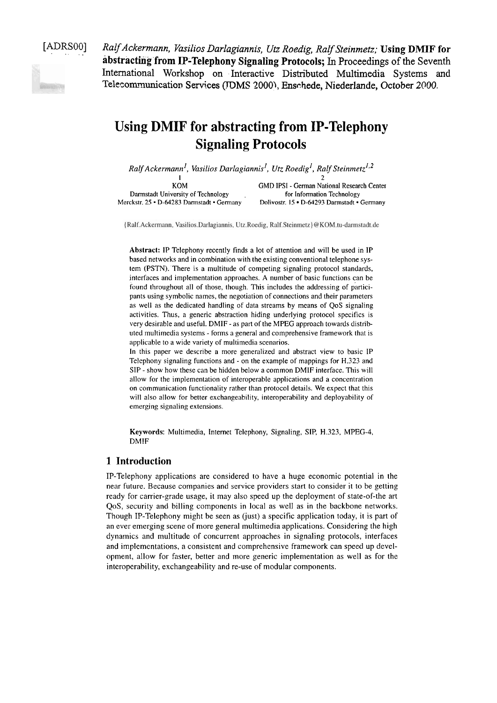

[ADRSOO] . .. .. *RalfAckermann, Vasilios Darlagiannis, Utz Roedig, RavSteinmetz;* **Using** *DMIF* **for abstracting'from IP-Telephony Signaling Protocols; In** Proceedings of the Seventh International Workshop on .Interactive Distributed Multimedia Systems and Telecommunication Services (JDMS 2000), Enschede, Niederlande, October 2000.

# **Using DMIF for abstracting from IP-Telephony Signaling Protocols**

 $R$ alf Ackermann<sup>1</sup>, Vasilios Darlagiannis<sup>1</sup>, Utz Roedig<sup>1</sup>, Ralf Steinmetz<sup>1,2</sup>

| KOM                                        | <b>GMD IPSI - German National Research Center</b> |
|--------------------------------------------|---------------------------------------------------|
| Darmstadt University of Technology         | for Information Technology                        |
| Merckstr. 25 • D-64283 Darmstadt • Germany | Dolivostr. 15 • D-64293 Darmstadt • Germany       |

{Ralf.Ackermann, Vasilios.Darlagiannis, Utz.Roedig, Ralf.Steinmetz}@KOM.tu-darmstadt.de

**Abstract:** IP Telephony recently finds a lot of attention and will be used in IP based networks and in combination with the existing conventional telephone system (PSTN). There is a multitude of competing signaling protocol standards, interfaces and implementation approaches. **A** number of basic functions can be found throughout all of those, though. This includes the addressing of participants using symbolic names, the negotiation of connections and their parameters as well as the dedicated handling of data streams by means of QoS signaling activities. Thus, a generic abstraction hiding underlying protocol specifics is very desirable and useful. DMlF - as part of the MPEG approach towards distributed multimedia systems - forms a general and comprehensive framework that is applicable to a wide variety of multimedia scenarios.

In this paper we describe a more generalized and abstract view to basic IP Telephony signaling functions and - on the example of mappings for H.323 and SIP - show how these can be hidden below a common DMIF interface. This will allow for the implementation of interoperable applications and a concentration on communication functionality rather than protocol details. We expect that this will also allow for better exchangeability, interoperability and deployability of emerging signaling extensions.

**Keywords:** Multimedia, Internet Telephony, Signaling, SIP, **H.323,** MPEG-4, DMIF

## **1 Introduction**

IP-Telephony applications are considered to have a huge econornic potential in the near future. Because companies and service providers start to consider it to be getting ready for carrier-grade usage, it may also speed up the deployment of state-of-the art QoS, security and billing components in local as well as in the backbone networks. Though IP-Telephony might be Seen as (just) a specific application today, it is part of an ever emerging scene of more general multimedia applications. Considering the high dynarnics and rnultitude of concurrent approaches in signaling protocols, interfaces and implementations, a consistent and comprehensive framework can speed up development, allow for faster, better and more generic implementation as well as for the interoperability, exchangeability and re-use of modular components.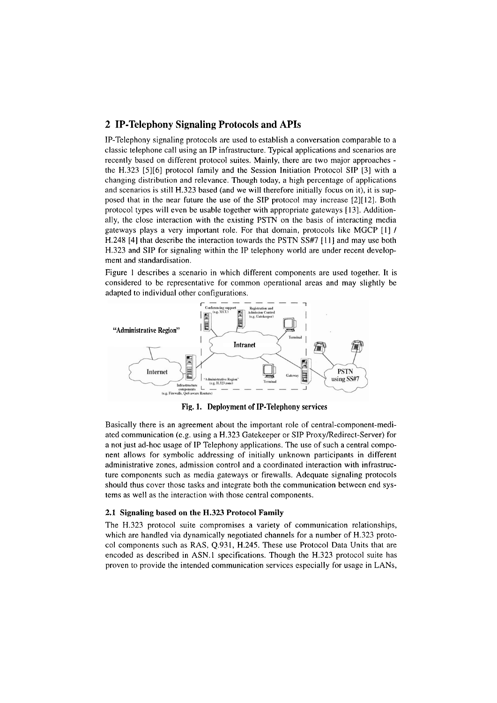# **2 IP-Telephony Signaling Protocols and APIs**

IP-Telephony signaling protocols are used to establish a conversation comparable to a classic telephone call using an IP infrastructure. Typical applications and scenarios are recently based on different protocol suites. Mainly, there are two major approaches the H.323 [5][6] protocol farnily and the Session Initiation Protocol SIP [3] with a changing distribution and relevance. Though today, a high percentage of applications and scenarios is still H.323 based (and we will therefore initially focus on it), it is supposed that in the near future the use of the SIP protocol may increasc [2][12]. Both protocol types will even be usable together with appropriate gateways [13]. Additionally, the close interaction with the existing PSTN on the basis of interacting media gateways plays a very important role. For that domain, protocols like MGCP [1] / H.248 [4] that describe the interaction towards the PSTN SS#7 [11] and may use both H.323 and SIP for signaling within the IP telephony world are under recent development and standardisation.

Figure 1 describes a scenario in which different components are used together. It is considered to be representative for common operational areas and may slightly be adapted to individual other configurations.



**Fig. 1. Deployment of IP-Telephony services** 

Basically there is an agreement about the important role of **central-cornponent-rnedi**ated cornrnunication (e.g using a H.323 Gatekeeper or SIP ProxyRedirect-Server) for a not just ad-hoc usage of IP Telephony applications. The use of such a central cornponent allows for symbolic addressing of initially unknown participants in different administrative zones, adrnission control and a coordinated interaction with infrastructure cornponents such as media gateways or firewalls. Adequate signaling protocols should thus Cover those tasks and integrate both the communication between end systems as well as the interaction with those central components.

#### **2.1 Signaling based on the H.323 Protocol Family**

The H.323 protocol suite compromises a variety of communication relationships, which are handled via dynamically negotiated channels for a number of H.323 protocol cornponents such as RAS, Q.93 1, H.245. These use Protocol Data Units that are encoded as described in ASN.1 specifications. Though the H.323 protocol sujte has proven to provide the intended comrnunication services especially for usage in LANs,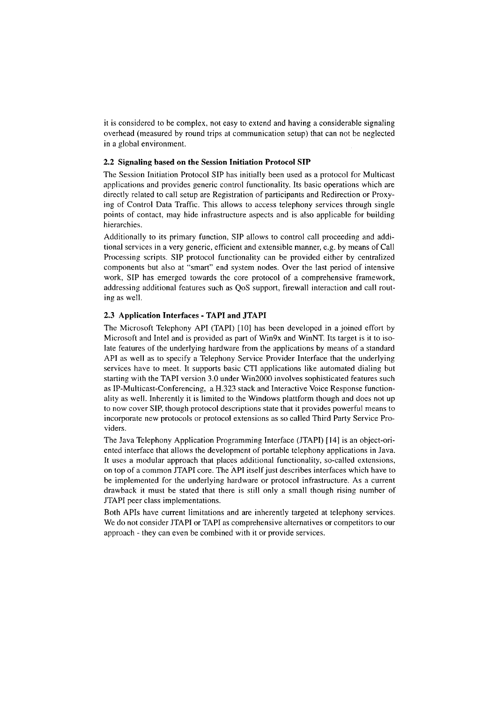it is considered to be complex, not easy to extend and having a considerable signaling overhead (measured by round trips at communication setup) that can not be neglected in a global environment.

#### **2.2 Signaling based on the Session Initiation Protocol SIP**

The Session Initiation Protocol SIP has initially been used as a protocol for Multicast applications and provides generic control functionality. Its basic operations which are directly related to call setup are Registration of participants and Redirection or Proxying of Control Data Traffic. This allows to access telephony services through single points of contact, may hide infrastructure aspects and is also applicable for building hierarchies.

Additionally to its primary function, SIP allows to control call proceeding and additional services in a very generic, efficient and extensible manner, e.g. by means of Call Processing scripts. SIP protocol functionality can be provided either by centralized components but also at "smart" end System nodes. Over the last period of intensive work, SIP has emerged towards the core protocol of a comprehensive framework, addressing additional features such as QoS support, firewall interaction and call routing as well.

## **2.3 Application Interfaces** - **TAPI and JTAPI**

The Microsoft Telephony API (TAPI) [I01 has been developed in a joined effort by Microsoft and Intel and is provided as part of Win9x and WinNT. Its target is it to isolate features of the underlying hardware from the applications by means of a standard API as well as to specify a Telephony Service Provider Interface that the underlying services have to meet. It supports basic CTI applications like automated dialing but starting wilh the TAPI version 3.0 under Win2000 involves sophisticated features such as IP-Multicast-Conferencing, a H.323 stack and Interactive Voice Response functionality as well. Inherently it is limited to the Windows plattform though and does not up to now Cover SIP, though protocol descriptions state that it provides powerful means to incorporate new protocols or protocol extensions as so called Third Party Service Providers.

The Java Telephony Application Programining Interface (JTAPI) [I41 is an object-oriented interface that allows the development of portable telephony applications in Java. It uses a modular approach that places additional functionality, so-called extensions, on top of a common JTAPI core. The API itself just describes interfaces which have to be implemented for the underlying hardware or protocol infrastructure. As a current drawback it must be stated that there is still only a small though rising number of JTAPI peer class implementations.

Both APIs have current limitations and are inherently targeted at telephony services. We do not consider JTAPI or TAPI as comprehensive alternatives or competitors to our approach - they can even be combined with it or provide services.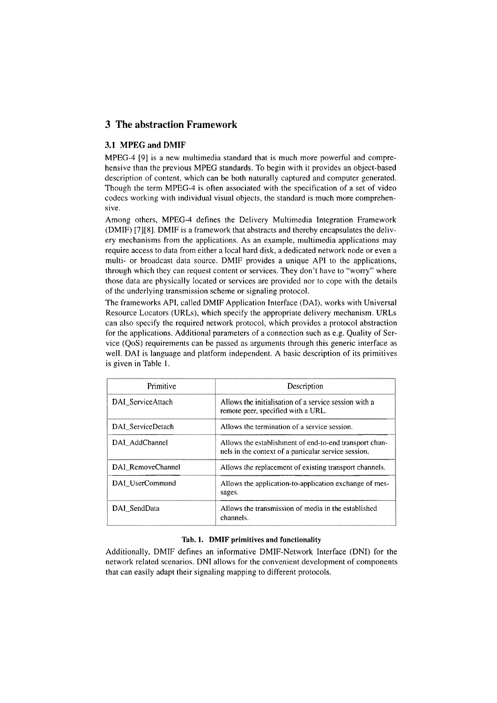# **3 The abstraction Framework**

## **3.1 MPEG and DMIF**

MPEG-4  $[9]$  is a new multimedia standard that is much more powerful and comprehensive than the previous MPEG standards. To begin with it provides an object-based description of content, which can be both naturally captured and Computer generated. Though the term MPEG-4 is often associated with the specification of a set of video codecs working with individual visual objects, the standard is much more comprehensive.

Arnong others, MPEG-4 defines the Delivery Multimedia Integration Framework (DMIF) [7][8]. DMIF is a frarnework that abstracts and thereby encapsulates the delivery mechanisms from the applications. As an example, multimedia applications may require access to data from either a local hard disk, a dedicated network node or even a multi- or broadcast data source. DMIF provides a unique API to the applications, through which they can request content or services. They don't have to "worry" where those data are physically located or services are provided nor to cope with the details of the underlying transmission scheme or signaling protocol.

The frameworks API, called DMIF Application Interface (DAI), works with Universal Resource Locators (URLs), which specify the appropriate delivery mechanism. URLs can also specify the required network protocol, which provides a protocol abstraction for the applications. Additional parameters of a connection such as e.g. Quality of Service (QoS) requirements can be passed as arguments through this generic interface as well. DA1 is language and platform independent. A basic description of its primitives is given in Table I.

| Primitive         | Description                                                                                                    |
|-------------------|----------------------------------------------------------------------------------------------------------------|
| DAI ServiceAttach | Allows the initialisation of a service session with a<br>remote peer, specified with a URL.                    |
| DAI ServiceDetach | Allows the termination of a service session.                                                                   |
| DAI AddChannel    | Allows the establishment of end-to-end transport chan-<br>nels in the context of a particular service session. |
| DAI RemoveChannel | Allows the replacement of existing transport channels.                                                         |
| DAI UserCommand   | Allows the application-to-application exchange of mes-<br>sages.                                               |
| DAI SendData      | Allows the transmission of media in the established<br>channels.                                               |

## Tab. **1.** DMIF primitives and functionality

Additionally, DMIF defines an informative DMIF-Network Interface (DNI) for the network related scenarios. DNI allows for the convenient developrnent of cornponents that can easily adapt their signaling mapping to different protocols.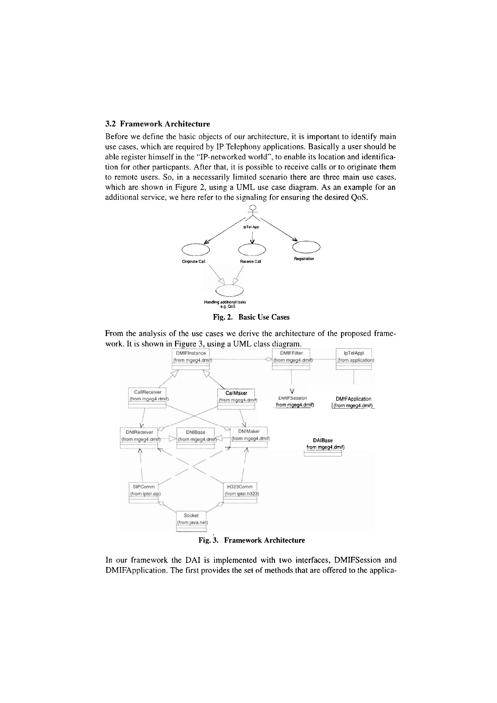#### **3.2 Framework Architecture**

Before we define the basic objects of our architecturc, it is important to identify main use cases, which are required by IP Telephony applications. Basically a user should be able register himself in the "IP-networked world", to enable its location and identification for other particpants. After that, it is possible to receive calls or to originate them to remote Users. So, in a necessarily limited scenario there are three main use cases, which are shown in Figure 2, using a UML use case diagram. As an example for an 3.2 Framework Architecture<br>Before we define the basic objects of our architecture, it is important to identi<br>use cases, which are required by IP Telephony applications. Basically a user sh<br>able register himself in the "IP



From the analysis of the use cases we derive the architecture of the proposed framework. It is shown in Figure **3,** using a UML class diagram.



In our framework the DA1 is implemented with two interfaces, DMIFSession and DMIFApplication. The first provides the set of methods that are offered to the applica-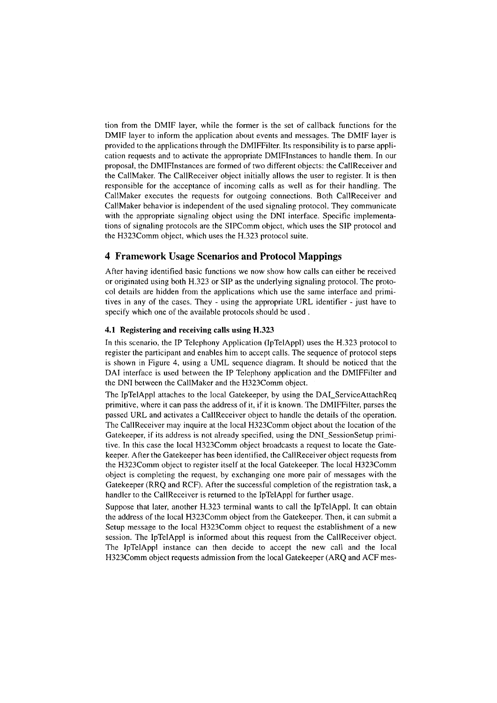tion from the DMIF layer, while the former is the Set of callback functions for the DMIF layer to inform the application about events and messages. The DMIF layer is provided to the applications through the DMIFFilter. Its responsibility is to parse application requests and to activate the appropriate DMIFInstances to handle them. In our proposal, the DMIFInstances are formed of two different objects: the CallReceiver and the CallMaker, The CallReceiver object initially allows the User to register. It is then responsible for the acccptance of incoming calls as well as for their handling. The CallMaker executes the requests for outgoing connections. Both CallReceiver and CallMaker behavior is independent of the used signaling protocol. They communicate with the appropriate signaling object using the DNI interface. Specific implementations of signaling protocols are the SIPComm object, which uses the SIP protocol and the H323Comm object, which uses the H.323 protocol Suite.

## **4 Framework Usage Scenarios and Protocol Mappings**

After having identified basic functions we now show how calls can either be received or originated using both H.323 or SIP as the underlying signaling protocol. The protocol details are hidden from the applications which use the Same interface and primitives in any of the cases. They - using the appropriate URL identifier - just have to specify which one of the available protocols should be used.

#### **4.1 Registering and receiving calls using H.323**

In this scenario, the IP Telephony Application (IpTelAppl) uses the H.323 protocol to register the participant and enables him to accept calls. The sequence of protocol steps is shown in Figure 4, using a UML sequence diagram. It should be noticed that the DA1 interface is used between the IP Telephony application and the DMIFFilter and the DNI between the CallMaker and the H323Comm object.

The IpTelAppl attaches to the local Gatekeeper, by using the DAI-ServiceAttachReq primitive, where it can pass the address of it, if it is known. The DMIFFilter, parses the passed URL and activates a CallReceiver object to handle the details of the operation. The CallReceiver may inquire at the local H323Comm object about the location of the Gatekeeper, if its address is not already specified, using the DNI-SessionSetup primitive. In this case the local H323Comm object broadcasts a rcquest to locate the Gatekeeper. After the Gatekeeper has been identified, the CallReceiver object requests from the H323Comm object to register itself at the local Gatekeeper. The local H323Comm object is completing the request, by exchanging one inore pair of messages with the Gatekeeper (RRQ and RCF). After the successful completion of the registration task, a handler to the CallReceiver is returned to the IpTelAppl for further usage.

Suppose that later, another H.323 terminal wants to call the IpTelAppl. It can obtain the address of the local H323Comm object from the Gatekeeper. Then, it can submit a Setup message to the local H323Comm object to request the establishment of a new Session. The IpTelAppl is informed about this request from the CallReceiver object. The IpTelAppl instance can then decide to accept the new call and the local H323Comm object requests admission from the local Gatekeeper (ARQ and ACF mes-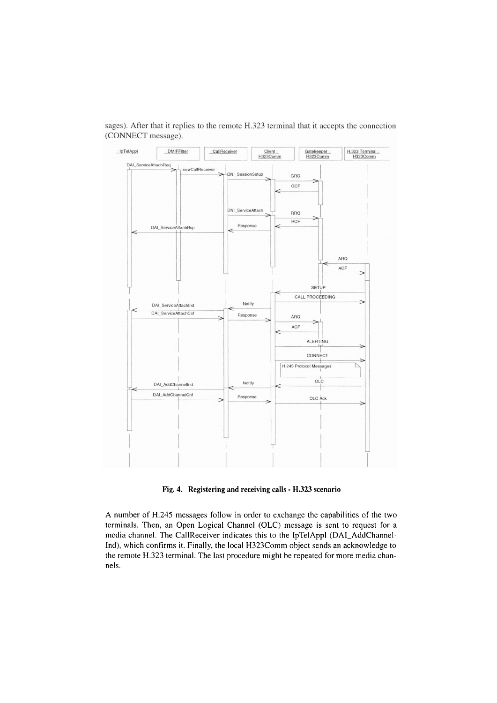

sages). After that it replies to the remote H.323 terminal that it accepts the connection (CONNECT message).

**Fig. 4. Registering and receiving calls** - **H.323 scenario** 

A number of H.245 messages follow in order to exchange the capabilities of the two terminals. Then, an Open Logical Channel (OLC) message is sent to request for a media channel. The CallReceiver indicates this to the IpTelAppl (DAI-AddChannel-Ind), which confirms it. Finally, the local H323Comm object sends an acknowledge to the remote H.323 terminal. The last procedure might be repeated for more media channels.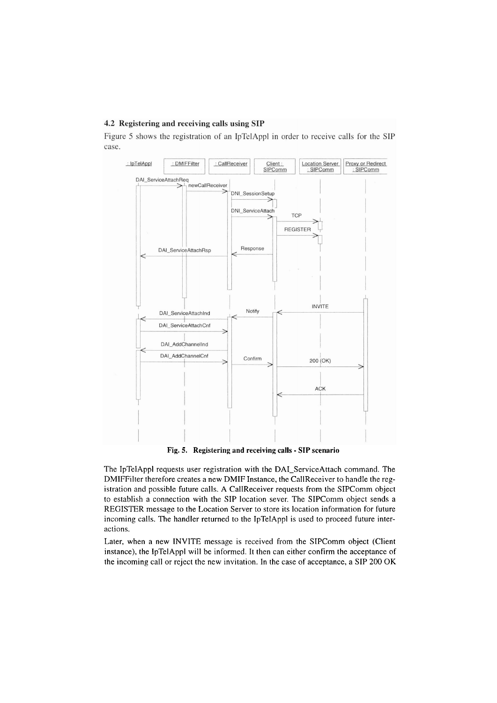#### 4.2 Registering and receiving calls using SIP

Figure 5 shows the registration of an IpTelAppl in order to receive calls for the SIP case.



**Fig. 5. Registering and receiving calls** - **SIP scenario** 

The IpTelAppl requests user registration with the DAI-ServiceAttach command. The DMIFFilter therefore creates a new DMIF Instance, the CallReceiver to handle the registration and possible future calls. A CallReceiver requests from the SIPComm object to establish a connection with the SIP location sever. The SIPComm object sends a REGISTER message to the Location Server to store its location information for future incoming calls. The handler returned to the IpTelAppl is used to proceed future interactions.

Later, when a new INVITE message is received from the SIPComm object (Client instance), the IpTelAppl will be informed. It then can either confirm the acceptance of the incoming call or reject the new invitation. In the case of acceptance, a SIP 200 OK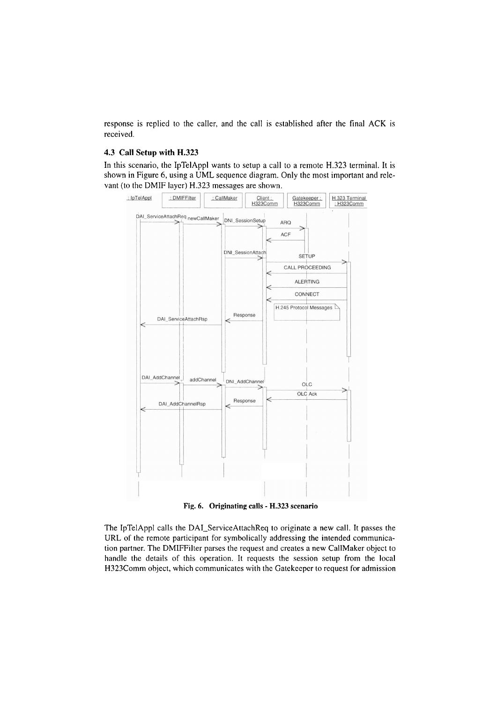response is replied to the caller, and the call is established after the final ACK is received.

## **4.3 Call Setup with H.323**

In this scenario, the IpTelAppl wants to setup a call to a remote H.323 terminal. It is shown in Figure 6, using a UML sequence diagram. Only the most important and relevant (to the DMIF layer) H.323 messages are shown.



**Fig. 6. Originating calls** - **H.323 scenario** 

The IpTelAppl calls the DAI-ServiceAttachReq to originate a new call. It passes the URL of the remote participant for symbolically addressing the intended communication Partner. The DMIFFilter parses the request and creates a new CallMaker object to handle the details of this operation. It requests the session setup from the local H323Comm object, which communicates with the Gatekeeper to request for admission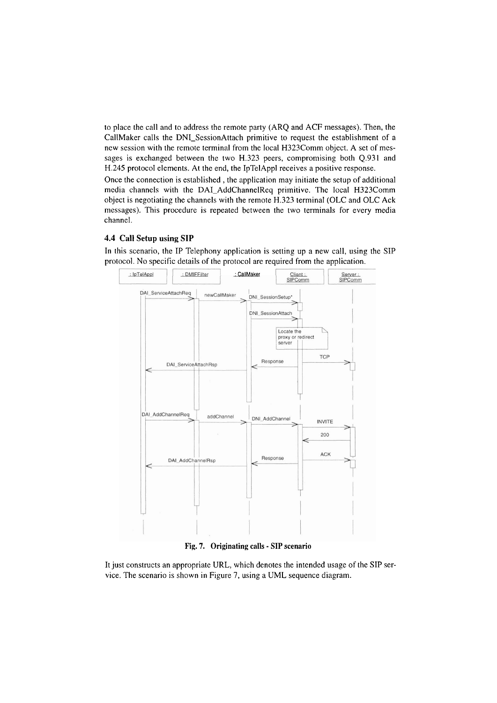to place the call and to address the remote party (ARQ and ACF messages). Then, the CallMaker calls the DNI-SessionAttach primitive to request the establishment of a new session with the remote terminal from the local H323Comm object. A set of messages is exchanged between the two H.323 peers, compromising both Q.931 and H.245 protocol elements. At the end, the IpTelAppl receives a positive response.

Once the connection is established , the application may initiate the setup of additional media channels with the DAI-AddChannelReq primitive. The local H323Comm object is negotiating the channels with the rernote H.323 terminal (OLC and OLC Ack messages). This procedure is repeated between the two terminals for every media channel.

## **4.4 Call Setup using SIP**

In this scenario, the IP Telephony application is setting up a new call, using the SIP protocol. No specific details of the protocol are required from the application.



**Fig. 7. Originating calls** - **SIP scenario** 

It just constructs an appropriate URL, which denotes the intended usage of the SIP service. The scenario is shown in Figure 7, using a UML sequence diagram.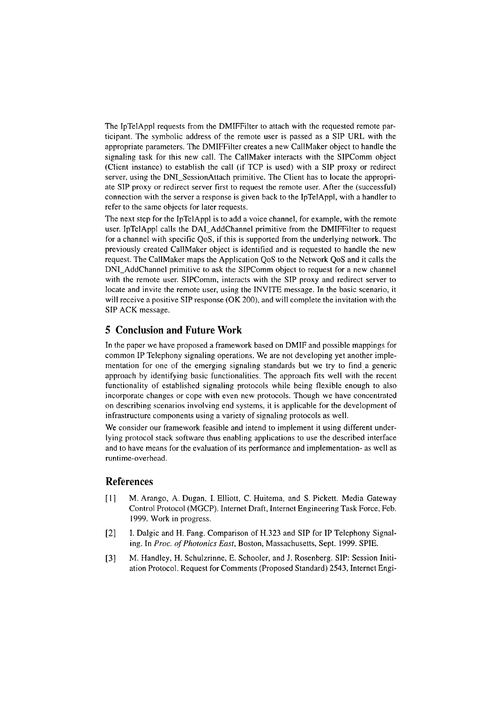The IpTelAppl requests from the DMIFFilter to attach with the requested remote participant. The symbolic address of the remote user is passed as a SIP URL with the appropriate Parameters. The DMIFFilter creates a new CallMaker object to handle the signaling task for this new call. The CallMaker interacts with the SIPComm object (Client instance) to establish the call (if TCP is used) with a SIP proxy or redirect server, using ihe DNI-SessionAttach primitive. The Client has to locate the appropriate SIP proxy or rcdirect server first to request the remote user. After the (successful) connection with the server a response is given back to the IpTelAppl, with a handler to refer to the same objects for later requests.

The next step for the IpTelAppl is to add a voice channel, for example, with the remote user. IpTelAppl calls the DAI-AddChannel primitive from the DMIFFilter to request for a channel with specific QoS, if this is supported from the underlying network. The previously created CallMaker object is identified and is requested to handle the new request. The CallMaker maps the Application QoS to the Network QoS and it calls the DNI-AddChannel primitive to ask the SIPComm object to request for a new channel with the remote user. SIPComm, interacts with the SIP proxy and redirect server to locate and invite the remote user, using the INVITE message. In the basic scenario, it will receive a positive SIP response (OK 200), and will complete the invitation with the SIP ACK message.

# **5 Conclusion and Future Work**

In the paper we have proposed a framework based on DMIF and possible mappings for common IP Telephony signaling operations. We are not developing yet another implementation for one of the emerging signaling standards but we try to find a generic approach by identifying basic functionalities. The approach fits well with the recent functionality of established signaling protocols while being flexible enough to also incorporate changes or cope with even new protocols. Though we have concentrated on describing Scenarios involving end Systems, it is applicable for the development of infrastructure components using a variety of signaling protocols as well.

We consider our framework feasible and intend to implement it using different underlying protocol stack Software thus enabling applications to use the described interface and to have means for the evaluation of its performance and implementation- as well as runtime-overhead.

# **References**

- [I] M. Arango, A. Dugan, I. Elliott, C. Huitema, and S. Pickett. Media Gateway Control Protocol (MGCP). Internet Draft, Internet Engineering Task Force, Feb. 1999. Work in progress.
- [2] I. Dalgic and H. Fang. Comparison of H.323 and SIP for IP Telephony Signaling. In *Proc. of Photonics Ecrsr,* Boston, Massachusetts, Sept. 1999. SPIE.
- [3] M. Handley, H. Schulzrinne, E. Schooler, and J. Rosenberg. SIP: Session Initiation Protocol. Request for Comments (Proposed Standard) 2543, Internet Engi-